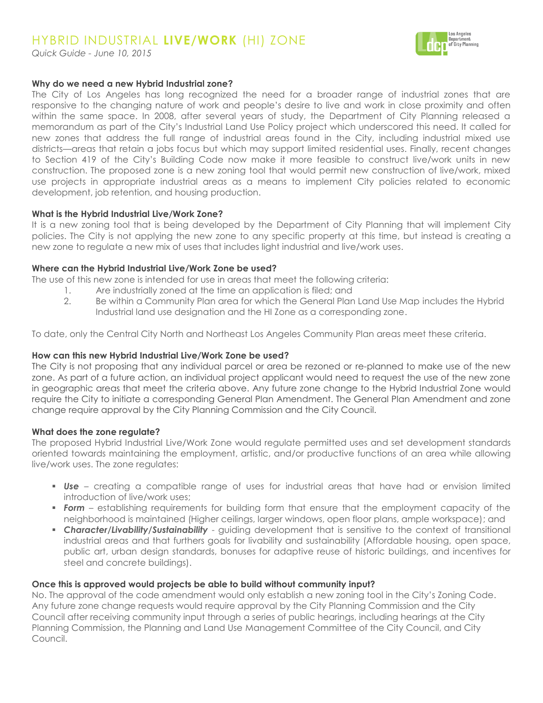# HYBRID INDUSTRIAL **LIVE/WORK** (HI) ZONE

*Quick Guide - June 10, 2015*



## **Why do we need a new Hybrid Industrial zone?**

The City of Los Angeles has long recognized the need for a broader range of industrial zones that are responsive to the changing nature of work and people's desire to live and work in close proximity and often within the same space. In 2008, after several years of study, the Department of City Planning released a memorandum as part of the City's Industrial Land Use Policy project which underscored this need. It called for new zones that address the full range of industrial areas found in the City, including industrial mixed use districts—areas that retain a jobs focus but which may support limited residential uses. Finally, recent changes to Section 419 of the City's Building Code now make it more feasible to construct live/work units in new construction. The proposed zone is a new zoning tool that would permit new construction of live/work, mixed use projects in appropriate industrial areas as a means to implement City policies related to economic development, job retention, and housing production.

## **What is the Hybrid Industrial Live/Work Zone?**

It is a new zoning tool that is being developed by the Department of City Planning that will implement City policies. The City is not applying the new zone to any specific property at this time, but instead is creating a new zone to regulate a new mix of uses that includes light industrial and live/work uses.

## **Where can the Hybrid Industrial Live/Work Zone be used?**

The use of this new zone is intended for use in areas that meet the following criteria:

- 1. Are industrially zoned at the time an application is filed; and
- 2. Be within a Community Plan area for which the General Plan Land Use Map includes the Hybrid Industrial land use designation and the HI Zone as a corresponding zone.

To date, only the Central City North and Northeast Los Angeles Community Plan areas meet these criteria.

## **How can this new Hybrid Industrial Live/Work Zone be used?**

The City is not proposing that any individual parcel or area be rezoned or re-planned to make use of the new zone. As part of a future action, an individual project applicant would need to request the use of the new zone in geographic areas that meet the criteria above. Any future zone change to the Hybrid Industrial Zone would require the City to initiate a corresponding General Plan Amendment. The General Plan Amendment and zone change require approval by the City Planning Commission and the City Council.

## **What does the zone regulate?**

The proposed Hybrid Industrial Live/Work Zone would regulate permitted uses and set development standards oriented towards maintaining the employment, artistic, and/or productive functions of an area while allowing live/work uses. The zone regulates:

- *Use* creating a compatible range of uses for industrial areas that have had or envision limited introduction of live/work uses;
- **Form** establishing requirements for building form that ensure that the employment capacity of the neighborhood is maintained (Higher ceilings, larger windows, open floor plans, ample workspace); and
- **Character/Livability/Sustainability** guiding development that is sensitive to the context of transitional industrial areas and that furthers goals for livability and sustainability (Affordable housing, open space, public art, urban design standards, bonuses for adaptive reuse of historic buildings, and incentives for steel and concrete buildings).

## **Once this is approved would projects be able to build without community input?**

No. The approval of the code amendment would only establish a new zoning tool in the City's Zoning Code. Any future zone change requests would require approval by the City Planning Commission and the City Council after receiving community input through a series of public hearings, including hearings at the City Planning Commission, the Planning and Land Use Management Committee of the City Council, and City Council.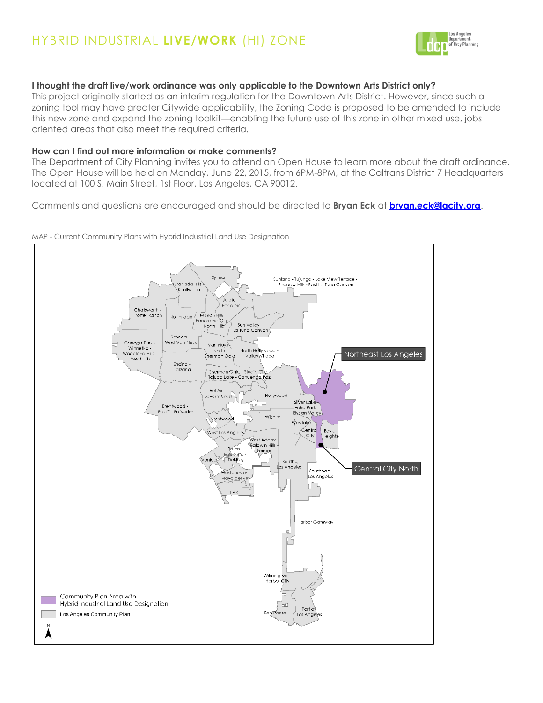

## **I thought the draft live/work ordinance was only applicable to the Downtown Arts District only?**

This project originally started as an interim regulation for the Downtown Arts District. However, since such a zoning tool may have greater Citywide applicability, the Zoning Code is proposed to be amended to include this new zone and expand the zoning toolkit—enabling the future use of this zone in other mixed use, jobs oriented areas that also meet the required criteria.

## **How can I find out more information or make comments?**

The Department of City Planning invites you to attend an Open House to learn more about the draft ordinance. The Open House will be held on Monday, June 22, 2015, from 6PM-8PM, at the Caltrans District 7 Headquarters located at 100 S. Main Street, 1st Floor, Los Angeles, CA 90012.

Comments and questions are encouraged and should be directed to **Bryan Eck** at **[bryan.eck@lacity.org](mailto:bryan.eck@lacity.org)**.

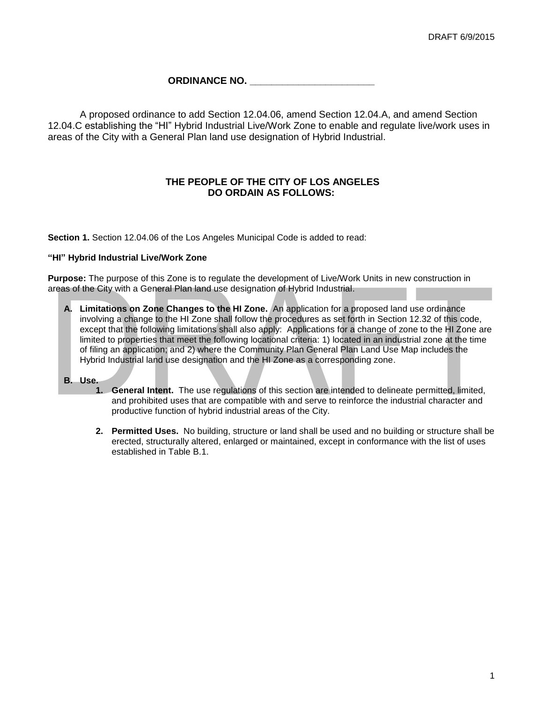## **ORDINANCE NO. \_\_\_\_\_\_\_\_\_\_\_\_\_\_\_\_\_\_\_\_\_\_\_**

A proposed ordinance to add Section 12.04.06, amend Section 12.04.A, and amend Section 12.04.C establishing the "HI" Hybrid Industrial Live/Work Zone to enable and regulate live/work uses in areas of the City with a General Plan land use designation of Hybrid Industrial.

## **THE PEOPLE OF THE CITY OF LOS ANGELES DO ORDAIN AS FOLLOWS:**

**Section 1.** Section 12.04.06 of the Los Angeles Municipal Code is added to read:

## **"HI" Hybrid Industrial Live/Work Zone**

**Purpose:** The purpose of this Zone is to regulate the development of Live/Work Units in new construction in areas of the City with a General Plan land use designation of Hybrid Industrial.

**A. Limitations on Zone Changes to the HI Zone.** An application for a proposed land use ordinance involving a change to the HI Zone shall follow the procedures as set forth in Section 12.32 of this code, except that the following limitations shall also apply: Applications for a change of zone to the HI Zone are limited to properties that meet the following locational criteria: 1) located in an industrial zone at the time of filing an application; and 2) where the Community Plan General Plan Land Use Map includes the Hybrid Industrial land use designation and the HI Zone as a corresponding zone.

## **B. Use.**

- **1. General Intent.** The use regulations of this section are intended to delineate permitted, limited, and prohibited uses that are compatible with and serve to reinforce the industrial character and productive function of hybrid industrial areas of the City.
- **2. Permitted Uses.** No building, structure or land shall be used and no building or structure shall be erected, structurally altered, enlarged or maintained, except in conformance with the list of uses established in Table B.1.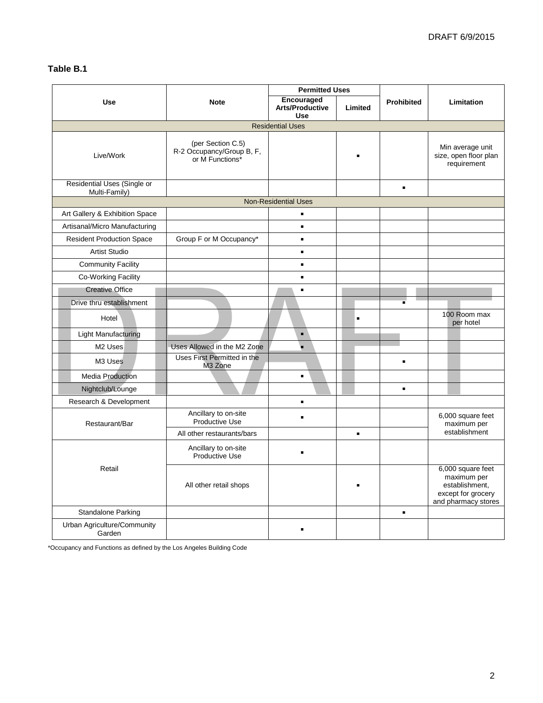## **Table B.1**

|                                              |                                                                   | <b>Permitted Uses</b>                              |                |                                                                                                 |                                                          |  |  |  |
|----------------------------------------------|-------------------------------------------------------------------|----------------------------------------------------|----------------|-------------------------------------------------------------------------------------------------|----------------------------------------------------------|--|--|--|
| <b>Use</b>                                   | <b>Note</b>                                                       | Encouraged<br><b>Arts/Productive</b><br><b>Use</b> | Limited        | <b>Prohibited</b>                                                                               | Limitation                                               |  |  |  |
| <b>Residential Uses</b>                      |                                                                   |                                                    |                |                                                                                                 |                                                          |  |  |  |
| Live/Work                                    | (per Section C.5)<br>R-2 Occupancy/Group B, F,<br>or M Functions* |                                                    |                |                                                                                                 | Min average unit<br>size, open floor plan<br>requirement |  |  |  |
| Residential Uses (Single or<br>Multi-Family) |                                                                   |                                                    |                | $\blacksquare$                                                                                  |                                                          |  |  |  |
| <b>Non-Residential Uses</b>                  |                                                                   |                                                    |                |                                                                                                 |                                                          |  |  |  |
| Art Gallery & Exhibition Space               |                                                                   | $\blacksquare$                                     |                |                                                                                                 |                                                          |  |  |  |
| Artisanal/Micro Manufacturing                |                                                                   | $\blacksquare$                                     |                |                                                                                                 |                                                          |  |  |  |
| <b>Resident Production Space</b>             | Group F or M Occupancy*                                           | $\blacksquare$                                     |                |                                                                                                 |                                                          |  |  |  |
| <b>Artist Studio</b>                         |                                                                   | $\blacksquare$                                     |                |                                                                                                 |                                                          |  |  |  |
| <b>Community Facility</b>                    |                                                                   | $\blacksquare$                                     |                |                                                                                                 |                                                          |  |  |  |
| Co-Working Facility                          |                                                                   | $\blacksquare$                                     |                |                                                                                                 |                                                          |  |  |  |
| <b>Creative Office</b>                       |                                                                   | $\blacksquare$                                     |                |                                                                                                 |                                                          |  |  |  |
| Drive thru establishment                     |                                                                   |                                                    |                | $\blacksquare$                                                                                  |                                                          |  |  |  |
| Hotel                                        |                                                                   |                                                    | $\blacksquare$ |                                                                                                 | 100 Room max<br>per hotel                                |  |  |  |
| <b>Light Manufacturing</b>                   |                                                                   | $\blacksquare$                                     |                |                                                                                                 |                                                          |  |  |  |
| M <sub>2</sub> Uses                          | Uses Allowed in the M2 Zone                                       |                                                    |                |                                                                                                 |                                                          |  |  |  |
| M3 Uses                                      | Uses First Permitted in the<br>M3 Zone                            |                                                    |                | $\blacksquare$                                                                                  |                                                          |  |  |  |
| <b>Media Production</b>                      |                                                                   | $\blacksquare$                                     |                |                                                                                                 |                                                          |  |  |  |
| Nightclub/Lounge                             |                                                                   |                                                    |                | $\blacksquare$                                                                                  |                                                          |  |  |  |
| Research & Development                       |                                                                   | $\blacksquare$                                     |                |                                                                                                 |                                                          |  |  |  |
| Restaurant/Bar                               | Ancillary to on-site<br><b>Productive Use</b>                     | $\blacksquare$                                     |                |                                                                                                 | 6,000 square feet<br>maximum per                         |  |  |  |
|                                              | All other restaurants/bars                                        |                                                    | ٠              |                                                                                                 | establishment                                            |  |  |  |
|                                              | Ancillary to on-site<br>Productive Use                            | $\blacksquare$                                     |                |                                                                                                 |                                                          |  |  |  |
| Retail                                       | All other retail shops                                            |                                                    |                | 6,000 square feet<br>maximum per<br>establishment.<br>except for grocery<br>and pharmacy stores |                                                          |  |  |  |
| Standalone Parking                           |                                                                   |                                                    |                | $\blacksquare$                                                                                  |                                                          |  |  |  |
| Urban Agriculture/Community<br>Garden        |                                                                   | $\blacksquare$                                     |                |                                                                                                 |                                                          |  |  |  |

\*Occupancy and Functions as defined by the Los Angeles Building Code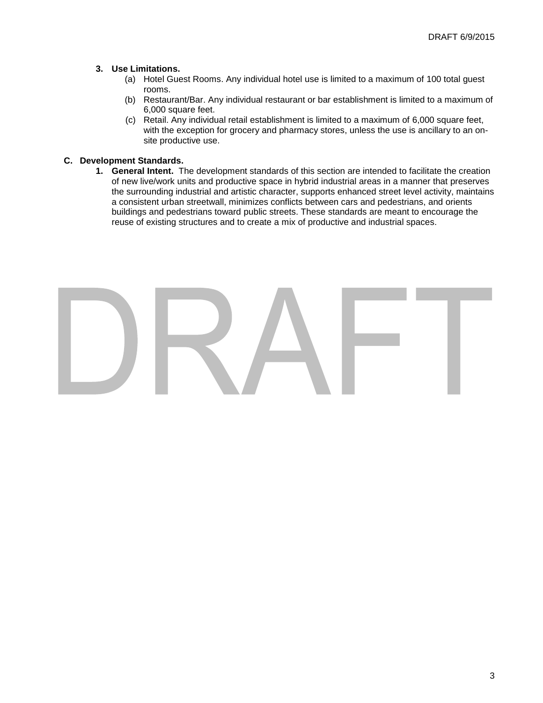## **3. Use Limitations.**

- (a) Hotel Guest Rooms. Any individual hotel use is limited to a maximum of 100 total guest rooms.
- (b) Restaurant/Bar. Any individual restaurant or bar establishment is limited to a maximum of 6,000 square feet.
- (c) Retail. Any individual retail establishment is limited to a maximum of 6,000 square feet, with the exception for grocery and pharmacy stores, unless the use is ancillary to an onsite productive use.

## **C. Development Standards.**

**1. General Intent.** The development standards of this section are intended to facilitate the creation of new live/work units and productive space in hybrid industrial areas in a manner that preserves the surrounding industrial and artistic character, supports enhanced street level activity, maintains a consistent urban streetwall, minimizes conflicts between cars and pedestrians, and orients buildings and pedestrians toward public streets. These standards are meant to encourage the reuse of existing structures and to create a mix of productive and industrial spaces.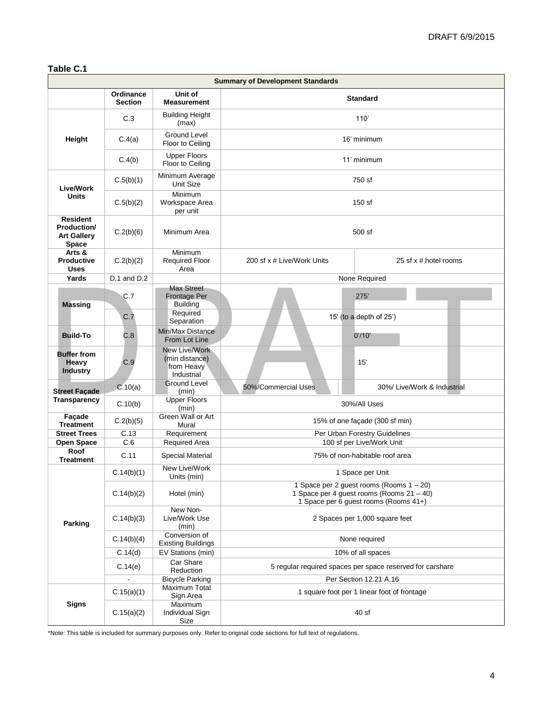## **Table C.1**

| <b>Summary of Development Standards</b>                              |                             |                                                             |                                                                                                                                |                             |  |  |
|----------------------------------------------------------------------|-----------------------------|-------------------------------------------------------------|--------------------------------------------------------------------------------------------------------------------------------|-----------------------------|--|--|
|                                                                      | Ordinance<br><b>Section</b> | Unit of<br><b>Measurement</b>                               | <b>Standard</b>                                                                                                                |                             |  |  |
| C.3                                                                  |                             | <b>Building Height</b><br>(max)                             | 110'                                                                                                                           |                             |  |  |
| Height                                                               | C.4(a)                      | Ground Level<br>Floor to Ceiling                            | 16' minimum                                                                                                                    |                             |  |  |
|                                                                      | C.4(b)                      | <b>Upper Floors</b><br>Floor to Ceiling                     | 11' minimum                                                                                                                    |                             |  |  |
| C.5(b)(1)<br><b>Live/Work</b>                                        |                             | Minimum Average<br>Unit Size                                | 750 sf                                                                                                                         |                             |  |  |
| <b>Units</b>                                                         | C.5(b)(2)                   | Minimum<br>Workspace Area<br>per unit                       | 150 sf                                                                                                                         |                             |  |  |
| <b>Resident</b><br>Production/<br><b>Art Gallery</b><br><b>Space</b> | C.2(b)(6)                   | Minimum Area                                                | 500 sf                                                                                                                         |                             |  |  |
| Arts &<br><b>Productive</b><br><b>Uses</b>                           | C.2(b)(2)                   | Minimum<br><b>Required Floor</b><br>Area                    | 200 sf x # Live/Work Units                                                                                                     | 25 sf x # hotel rooms       |  |  |
| Yards                                                                | $D.1$ and $D.2$             |                                                             |                                                                                                                                | None Required               |  |  |
| C.7<br><b>Massing</b>                                                |                             | <b>Max Street</b><br>Frontage Per<br><b>Building</b>        |                                                                                                                                | 275'                        |  |  |
|                                                                      | C.7                         | Required<br>Separation                                      | 15' (to a depth of 25')                                                                                                        |                             |  |  |
| <b>Build-To</b>                                                      | C.8                         | Min/Max Distance<br>From Lot Line                           |                                                                                                                                | 0'/10'                      |  |  |
| <b>Buffer from</b><br><b>Heavy</b><br><b>Industry</b>                | C.9                         | New Live/Work<br>(min distance)<br>from Heavy<br>Industrial |                                                                                                                                | 15'                         |  |  |
|                                                                      | C.10(a)                     | <b>Ground Level</b>                                         | 50%/Commercial Uses                                                                                                            | 30%/ Live/Work & Industrial |  |  |
| <b>Street Façade</b><br>Transparency                                 | C.10(b)                     | (min)<br><b>Upper Floors</b><br>(min)                       | 30%/All Uses                                                                                                                   |                             |  |  |
| Façade<br><b>Treatment</b>                                           | C.2(b)(5)                   | Green Wall or Art<br>Mural                                  | 15% of one façade (300 sf min)                                                                                                 |                             |  |  |
| <b>Street Trees</b>                                                  | C.13                        | Requirement                                                 | Per Urban Forestry Guidelines                                                                                                  |                             |  |  |
| <b>Open Space</b><br>Roof                                            | C.6                         | <b>Required Area</b>                                        | 100 sf per Live/Work Unit                                                                                                      |                             |  |  |
| <b>Treatment</b>                                                     | C.11                        | Special Material                                            | 75% of non-habitable roof area                                                                                                 |                             |  |  |
|                                                                      | C.14(b)(1)                  | New Live/Work<br>Units (min)                                | 1 Space per Unit                                                                                                               |                             |  |  |
|                                                                      | C.14(b)(2)                  | Hotel (min)                                                 | 1 Space per 2 guest rooms (Rooms 1 - 20)<br>1 Space per 4 guest rooms (Rooms 21 - 40)<br>1 Space per 6 guest rooms (Rooms 41+) |                             |  |  |
| Parking                                                              | C.14(b)(3)                  | New Non-<br>Live/Work Use<br>(min)                          | 2 Spaces per 1,000 square feet                                                                                                 |                             |  |  |
|                                                                      | C.14(b)(4)                  | Conversion of<br><b>Existing Buildings</b>                  | None required                                                                                                                  |                             |  |  |
|                                                                      | C.14(d)                     | EV Stations (min)                                           | 10% of all spaces                                                                                                              |                             |  |  |
|                                                                      | C.14(e)                     | Car Share<br>Reduction                                      | 5 regular required spaces per space reserved for carshare                                                                      |                             |  |  |
|                                                                      |                             | <b>Bicycle Parking</b>                                      |                                                                                                                                | Per Section 12.21 A.16      |  |  |
| <b>Signs</b>                                                         | C.15(a)(1)                  | Maximum Total<br>Sign Area                                  | 1 square foot per 1 linear foot of frontage                                                                                    |                             |  |  |
|                                                                      | C.15(a)(2)                  | Maximum<br>Individual Sign<br>Size                          | 40 sf                                                                                                                          |                             |  |  |

\*Note: This table is included for summary purposes only. Refer to original code sections for full text of regulations.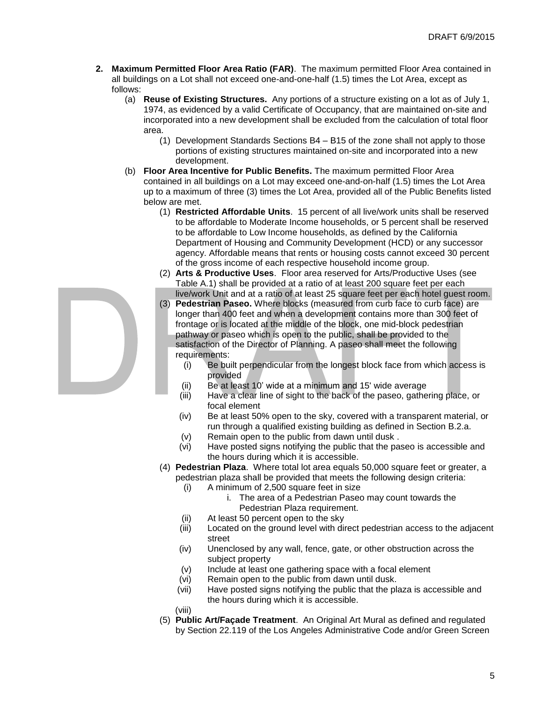- **2. Maximum Permitted Floor Area Ratio (FAR)**. The maximum permitted Floor Area contained in all buildings on a Lot shall not exceed one-and-one-half (1.5) times the Lot Area, except as follows:
	- (a) **Reuse of Existing Structures.** Any portions of a structure existing on a lot as of July 1, 1974, as evidenced by a valid Certificate of Occupancy, that are maintained on-site and incorporated into a new development shall be excluded from the calculation of total floor area.
		- (1) Development Standards Sections B4 B15 of the zone shall not apply to those portions of existing structures maintained on-site and incorporated into a new development.
	- (b) **Floor Area Incentive for Public Benefits.** The maximum permitted Floor Area contained in all buildings on a Lot may exceed one-and-on-half (1.5) times the Lot Area up to a maximum of three (3) times the Lot Area, provided all of the Public Benefits listed below are met.
		- (1) **Restricted Affordable Units**. 15 percent of all live/work units shall be reserved to be affordable to Moderate Income households, or 5 percent shall be reserved to be affordable to Low Income households, as defined by the California Department of Housing and Community Development (HCD) or any successor agency. Affordable means that rents or housing costs cannot exceed 30 percent of the gross income of each respective household income group.
		- (2) **Arts & Productive Uses**. Floor area reserved for Arts/Productive Uses (see Table A.1) shall be provided at a ratio of at least 200 square feet per each live/work Unit and at a ratio of at least 25 square feet per each hotel guest room.
		- (3) **Pedestrian Paseo.** Where blocks (measured from curb face to curb face) are longer than 400 feet and when a development contains more than 300 feet of frontage or is located at the middle of the block, one mid-block pedestrian pathway or paseo which is open to the public, shall be provided to the satisfaction of the Director of Planning. A paseo shall meet the following requirements:
			- (i) Be built perpendicular from the longest block face from which access is provided
			- (ii) Be at least 10' wide at a minimum and 15' wide average
			- (iii) Have a clear line of sight to the back of the paseo, gathering place, or focal element
			- (iv) Be at least 50% open to the sky, covered with a transparent material, or run through a qualified existing building as defined in Section B.2.a.
			- (v) Remain open to the public from dawn until dusk .
			- (vi) Have posted signs notifying the public that the paseo is accessible and the hours during which it is accessible.
		- (4) **Pedestrian Plaza**. Where total lot area equals 50,000 square feet or greater, a pedestrian plaza shall be provided that meets the following design criteria:
			- (i) A minimum of 2,500 square feet in size
				- i. The area of a Pedestrian Paseo may count towards the Pedestrian Plaza requirement.
			- (ii) At least 50 percent open to the sky
			- (iii) Located on the ground level with direct pedestrian access to the adjacent street
			- (iv) Unenclosed by any wall, fence, gate, or other obstruction across the subject property
			- (v) Include at least one gathering space with a focal element
			- (vi) Remain open to the public from dawn until dusk.
			- (vii) Have posted signs notifying the public that the plaza is accessible and the hours during which it is accessible.
			- (viii)
		- (5) **Public Art/Façade Treatment**. An Original Art Mural as defined and regulated by Section 22.119 of the Los Angeles Administrative Code and/or Green Screen

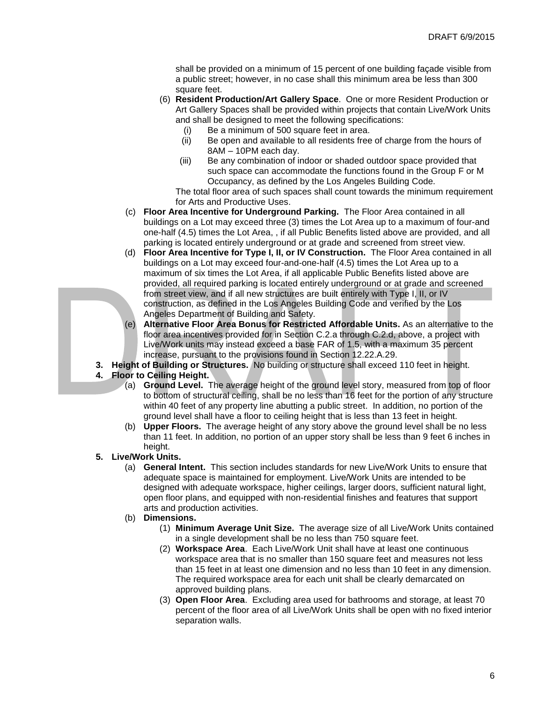shall be provided on a minimum of 15 percent of one building façade visible from a public street; however, in no case shall this minimum area be less than 300 square feet.

- (6) **Resident Production/Art Gallery Space**. One or more Resident Production or Art Gallery Spaces shall be provided within projects that contain Live/Work Units and shall be designed to meet the following specifications:
	- (i) Be a minimum of 500 square feet in area.
	- (ii) Be open and available to all residents free of charge from the hours of 8AM – 10PM each day.
	- (iii) Be any combination of indoor or shaded outdoor space provided that such space can accommodate the functions found in the Group F or M Occupancy, as defined by the Los Angeles Building Code.

The total floor area of such spaces shall count towards the minimum requirement for Arts and Productive Uses.

- (c) **Floor Area Incentive for Underground Parking.** The Floor Area contained in all buildings on a Lot may exceed three (3) times the Lot Area up to a maximum of four-and one-half (4.5) times the Lot Area, , if all Public Benefits listed above are provided, and all parking is located entirely underground or at grade and screened from street view.
- (d) **Floor Area Incentive for Type I, II, or IV Construction.** The Floor Area contained in all buildings on a Lot may exceed four-and-one-half (4.5) times the Lot Area up to a maximum of six times the Lot Area, if all applicable Public Benefits listed above are provided, all required parking is located entirely underground or at grade and screened from street view, and if all new structures are built entirely with Type I, II, or IV construction, as defined in the Los Angeles Building Code and verified by the Los Angeles Department of Building and Safety.
- (e) **Alternative Floor Area Bonus for Restricted Affordable Units.** As an alternative to the floor area incentives provided for in Section C.2.a through C.2.d, above, a project with Live/Work units may instead exceed a base FAR of 1.5, with a maximum 35 percent increase, pursuant to the provisions found in Section 12.22.A.29.
- **3. Height of Building or Structures.** No building or structure shall exceed 110 feet in height.

## **4. Floor to Ceiling Height.**

- (a) **Ground Level.** The average height of the ground level story, measured from top of floor to bottom of structural ceiling, shall be no less than 16 feet for the portion of any structure within 40 feet of any property line abutting a public street. In addition, no portion of the ground level shall have a floor to ceiling height that is less than 13 feet in height.
- (b) **Upper Floors.** The average height of any story above the ground level shall be no less than 11 feet. In addition, no portion of an upper story shall be less than 9 feet 6 inches in height.

## **5. Live/Work Units.**

- (a) **General Intent.** This section includes standards for new Live/Work Units to ensure that adequate space is maintained for employment. Live/Work Units are intended to be designed with adequate workspace, higher ceilings, larger doors, sufficient natural light, open floor plans, and equipped with non-residential finishes and features that support arts and production activities.
- (b) **Dimensions.**
	- (1) **Minimum Average Unit Size.** The average size of all Live/Work Units contained in a single development shall be no less than 750 square feet.
	- (2) **Workspace Area**. Each Live/Work Unit shall have at least one continuous workspace area that is no smaller than 150 square feet and measures not less than 15 feet in at least one dimension and no less than 10 feet in any dimension. The required workspace area for each unit shall be clearly demarcated on approved building plans.
	- (3) **Open Floor Area**. Excluding area used for bathrooms and storage, at least 70 percent of the floor area of all Live/Work Units shall be open with no fixed interior separation walls.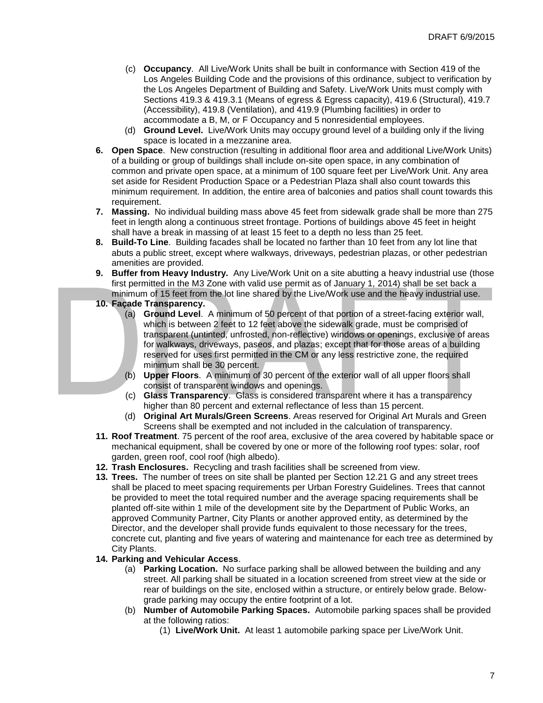- (c) **Occupancy**. All Live/Work Units shall be built in conformance with Section 419 of the Los Angeles Building Code and the provisions of this ordinance, subject to verification by the Los Angeles Department of Building and Safety. Live/Work Units must comply with Sections 419.3 & 419.3.1 (Means of egress & Egress capacity), 419.6 (Structural), 419.7 (Accessibility), 419.8 (Ventilation), and 419.9 (Plumbing facilities) in order to accommodate a B, M, or F Occupancy and 5 nonresidential employees.
- (d) **Ground Level.** Live/Work Units may occupy ground level of a building only if the living space is located in a mezzanine area.
- **6. Open Space**. New construction (resulting in additional floor area and additional Live/Work Units) of a building or group of buildings shall include on-site open space, in any combination of common and private open space, at a minimum of 100 square feet per Live/Work Unit. Any area set aside for Resident Production Space or a Pedestrian Plaza shall also count towards this minimum requirement. In addition, the entire area of balconies and patios shall count towards this requirement.
- **7. Massing.** No individual building mass above 45 feet from sidewalk grade shall be more than 275 feet in length along a continuous street frontage. Portions of buildings above 45 feet in height shall have a break in massing of at least 15 feet to a depth no less than 25 feet.
- **8. Build-To Line**. Building facades shall be located no farther than 10 feet from any lot line that abuts a public street, except where walkways, driveways, pedestrian plazas, or other pedestrian amenities are provided.
- **9. Buffer from Heavy Industry.** Any Live/Work Unit on a site abutting a heavy industrial use (those first permitted in the M3 Zone with valid use permit as of January 1, 2014) shall be set back a minimum of 15 feet from the lot line shared by the Live/Work use and the heavy industrial use.
- **10. Façade Transparency.**
	- (a) **Ground Level**. A minimum of 50 percent of that portion of a street-facing exterior wall, which is between 2 feet to 12 feet above the sidewalk grade, must be comprised of transparent (untinted, unfrosted, non-reflective) windows or openings, exclusive of areas for walkways, driveways, paseos, and plazas; except that for those areas of a building reserved for uses first permitted in the CM or any less restrictive zone, the required minimum shall be 30 percent.
	- (b) **Upper Floors**. A minimum of 30 percent of the exterior wall of all upper floors shall consist of transparent windows and openings.
	- (c) **Glass Transparency**. Glass is considered transparent where it has a transparency higher than 80 percent and external reflectance of less than 15 percent.
	- (d) **Original Art Murals/Green Screens**. Areas reserved for Original Art Murals and Green Screens shall be exempted and not included in the calculation of transparency.
- **11. Roof Treatment**. 75 percent of the roof area, exclusive of the area covered by habitable space or mechanical equipment, shall be covered by one or more of the following roof types: solar, roof garden, green roof, cool roof (high albedo).
- **12. Trash Enclosures.** Recycling and trash facilities shall be screened from view.
- **13. Trees.** The number of trees on site shall be planted per Section 12.21 G and any street trees shall be placed to meet spacing requirements per Urban Forestry Guidelines. Trees that cannot be provided to meet the total required number and the average spacing requirements shall be planted off-site within 1 mile of the development site by the Department of Public Works, an approved Community Partner, City Plants or another approved entity, as determined by the Director, and the developer shall provide funds equivalent to those necessary for the trees, concrete cut, planting and five years of watering and maintenance for each tree as determined by City Plants.
- **14. Parking and Vehicular Access**.
	- (a) **Parking Location.** No surface parking shall be allowed between the building and any street. All parking shall be situated in a location screened from street view at the side or rear of buildings on the site, enclosed within a structure, or entirely below grade. Belowgrade parking may occupy the entire footprint of a lot.
	- (b) **Number of Automobile Parking Spaces.** Automobile parking spaces shall be provided at the following ratios:
		- (1) **Live/Work Unit.** At least 1 automobile parking space per Live/Work Unit.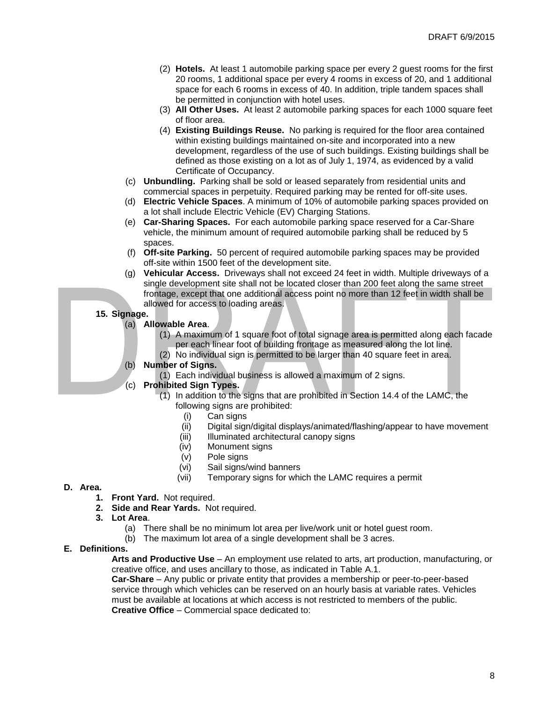- (2) **Hotels.** At least 1 automobile parking space per every 2 guest rooms for the first 20 rooms, 1 additional space per every 4 rooms in excess of 20, and 1 additional space for each 6 rooms in excess of 40. In addition, triple tandem spaces shall be permitted in conjunction with hotel uses.
- (3) **All Other Uses.** At least 2 automobile parking spaces for each 1000 square feet of floor area.
- (4) **Existing Buildings Reuse.** No parking is required for the floor area contained within existing buildings maintained on-site and incorporated into a new development, regardless of the use of such buildings. Existing buildings shall be defined as those existing on a lot as of July 1, 1974, as evidenced by a valid Certificate of Occupancy.
- (c) **Unbundling.** Parking shall be sold or leased separately from residential units and commercial spaces in perpetuity. Required parking may be rented for off-site uses.
- (d) **Electric Vehicle Spaces**. A minimum of 10% of automobile parking spaces provided on a lot shall include Electric Vehicle (EV) Charging Stations.
- (e) **Car-Sharing Spaces.** For each automobile parking space reserved for a Car-Share vehicle, the minimum amount of required automobile parking shall be reduced by 5 spaces.
- (f) **Off-site Parking.** 50 percent of required automobile parking spaces may be provided off-site within 1500 feet of the development site.
- (g) **Vehicular Access.** Driveways shall not exceed 24 feet in width. Multiple driveways of a single development site shall not be located closer than 200 feet along the same street frontage, except that one additional access point no more than 12 feet in width shall be allowed for access to loading areas.

## **15. Signage.**

- (a) **Allowable Area**.
	- (1) A maximum of 1 square foot of total signage area is permitted along each facade per each linear foot of building frontage as measured along the lot line.
	- (2) No individual sign is permitted to be larger than 40 square feet in area.
- (b) **Number of Signs.**
	- (1) Each individual business is allowed a maximum of 2 signs.
- (c) **Prohibited Sign Types.**
	- (1) In addition to the signs that are prohibited in Section 14.4 of the LAMC, the following signs are prohibited:
		- (i) Can signs
		- (ii) Digital sign/digital displays/animated/flashing/appear to have movement
		- (iii) Illuminated architectural canopy signs
		- (iv) Monument signs
		- (v) Pole signs
		- (vi) Sail signs/wind banners
		- (vii) Temporary signs for which the LAMC requires a permit

## **D. Area.**

- **1. Front Yard.** Not required.
- **2. Side and Rear Yards.** Not required.
- **3. Lot Area**.
	- (a) There shall be no minimum lot area per live/work unit or hotel guest room.
	- (b) The maximum lot area of a single development shall be 3 acres.

## **E. Definitions.**

**Arts and Productive Use** – An employment use related to arts, art production, manufacturing, or creative office, and uses ancillary to those, as indicated in Table A.1.

**Car-Share** – Any public or private entity that provides a membership or peer-to-peer-based service through which vehicles can be reserved on an hourly basis at variable rates. Vehicles must be available at locations at which access is not restricted to members of the public. **Creative Office** – Commercial space dedicated to: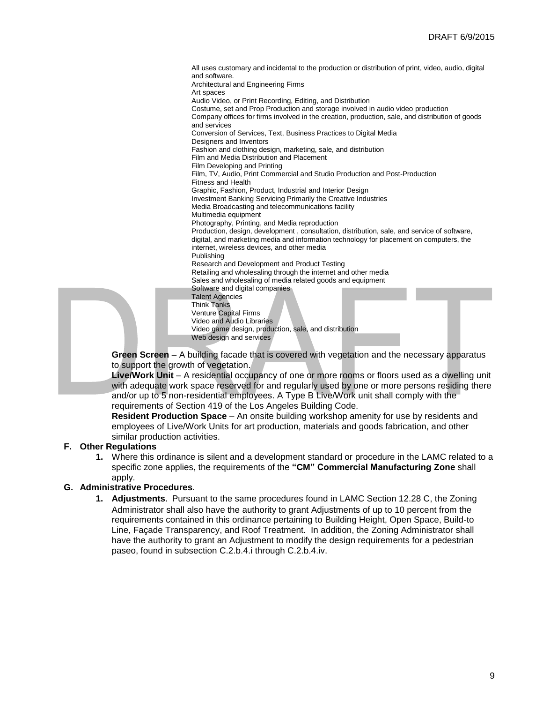All uses customary and incidental to the production or distribution of print, video, audio, digital and software. Architectural and Engineering Firms Art spaces Audio Video, or Print Recording, Editing, and Distribution Costume, set and Prop Production and storage involved in audio video production Company offices for firms involved in the creation, production, sale, and distribution of goods and services Conversion of Services, Text, Business Practices to Digital Media Designers and Inventors Fashion and clothing design, marketing, sale, and distribution Film and Media Distribution and Placement Film Developing and Printing Film, TV, Audio, Print Commercial and Studio Production and Post-Production Fitness and Health Graphic, Fashion, Product, Industrial and Interior Design Investment Banking Servicing Primarily the Creative Industries Media Broadcasting and telecommunications facility Multimedia equipment Photography, Printing, and Media reproduction Production, design, development , consultation, distribution, sale, and service of software, digital, and marketing media and information technology for placement on computers, the internet, wireless devices, and other media Publishing Research and Development and Product Testing Retailing and wholesaling through the internet and other media Sales and wholesaling of media related goods and equipment Software and digital companies Talent Agencies Think Tanks Venture Capital Firms Video and Audio Libraries Video game design, production, sale, and distribution Web design and services

**Green Screen** – A building facade that is covered with vegetation and the necessary apparatus to support the growth of vegetation.

**Live/Work Unit** – A residential occupancy of one or more rooms or floors used as a dwelling unit with adequate work space reserved for and regularly used by one or more persons residing there and/or up to 5 non-residential employees. A Type B Live/Work unit shall comply with the requirements of Section 419 of the Los Angeles Building Code.

**Resident Production Space** – An onsite building workshop amenity for use by residents and employees of Live/Work Units for art production, materials and goods fabrication, and other similar production activities.

## **F. Other Regulations**

**1.** Where this ordinance is silent and a development standard or procedure in the LAMC related to a specific zone applies, the requirements of the **"CM" Commercial Manufacturing Zone** shall apply.

## **G. Administrative Procedures**.

**1. Adjustments**. Pursuant to the same procedures found in LAMC Section 12.28 C, the Zoning Administrator shall also have the authority to grant Adjustments of up to 10 percent from the requirements contained in this ordinance pertaining to Building Height, Open Space, Build-to Line, Façade Transparency, and Roof Treatment. In addition, the Zoning Administrator shall have the authority to grant an Adjustment to modify the design requirements for a pedestrian paseo, found in subsection C.2.b.4.i through C.2.b.4.iv.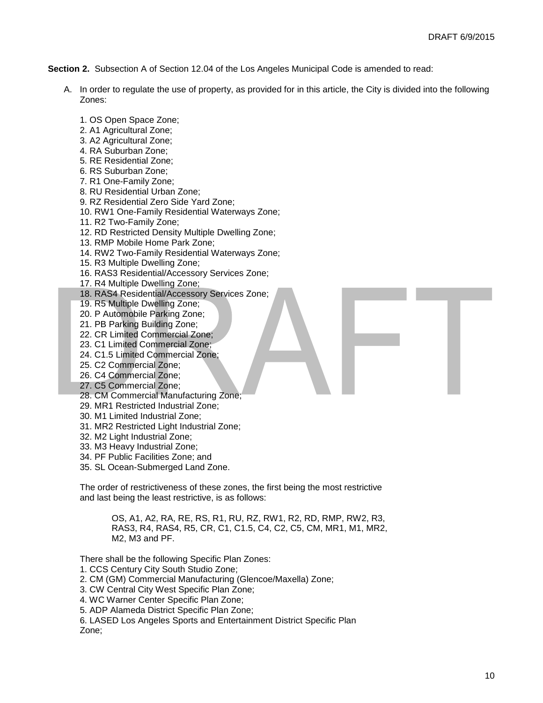**Section 2.** Subsection A of Section 12.04 of the Los Angeles Municipal Code is amended to read:

- A. In order to regulate the use of property, as provided for in this article, the City is divided into the following Zones:
	- 1. OS Open Space Zone;
	- 2. A1 Agricultural Zone;
	- 3. A2 Agricultural Zone;
	- 4. RA Suburban Zone;
	- 5. RE Residential Zone;
	- 6. RS Suburban Zone;
	- 7. R1 One-Family Zone;
	- 8. RU Residential Urban Zone;
	- 9. RZ Residential Zero Side Yard Zone;
	- 10. RW1 One-Family Residential Waterways Zone;
	- 11. R2 Two-Family Zone;
	- 12. RD Restricted Density Multiple Dwelling Zone;
	- 13. RMP Mobile Home Park Zone;
	- 14. RW2 Two-Family Residential Waterways Zone;
	- 15. R3 Multiple Dwelling Zone;
	- 16. RAS3 Residential/Accessory Services Zone;
	- 17. R4 Multiple Dwelling Zone;
	- 18. RAS4 Residential/Accessory Services Zone;
	- 19. R5 Multiple Dwelling Zone;
	- 20. P Automobile Parking Zone;
	- 21. PB Parking Building Zone;
	- 22. CR Limited Commercial Zone;
	- 23. C1 Limited Commercial Zone;
	- 24. C1.5 Limited Commercial Zone;
	- 25. C2 Commercial Zone;
	- 26. C4 Commercial Zone;
	- 27. C5 Commercial Zone;
	- 28. CM Commercial Manufacturing Zone;
	- 29. MR1 Restricted Industrial Zone;
	- 30. M1 Limited Industrial Zone;
	- 31. MR2 Restricted Light Industrial Zone;
	- 32. M2 Light Industrial Zone;
	- 33. M3 Heavy Industrial Zone;
	- 34. PF Public Facilities Zone; and
	- 35. SL Ocean-Submerged Land Zone.

The order of restrictiveness of these zones, the first being the most restrictive and last being the least restrictive, is as follows:

> OS, A1, A2, RA, RE, RS, R1, RU, RZ, RW1, R2, RD, RMP, RW2, R3, RAS3, R4, RAS4, R5, CR, C1, C1.5, C4, C2, C5, CM, MR1, M1, MR2, M2, M3 and PF.

There shall be the following Specific Plan Zones:

1. CCS Century City South Studio Zone;

- 2. CM (GM) Commercial Manufacturing (Glencoe/Maxella) Zone;
- 3. CW Central City West Specific Plan Zone;
- 4. WC Warner Center Specific Plan Zone;

5. ADP Alameda District Specific Plan Zone;

6. LASED Los Angeles Sports and Entertainment District Specific Plan Zone;